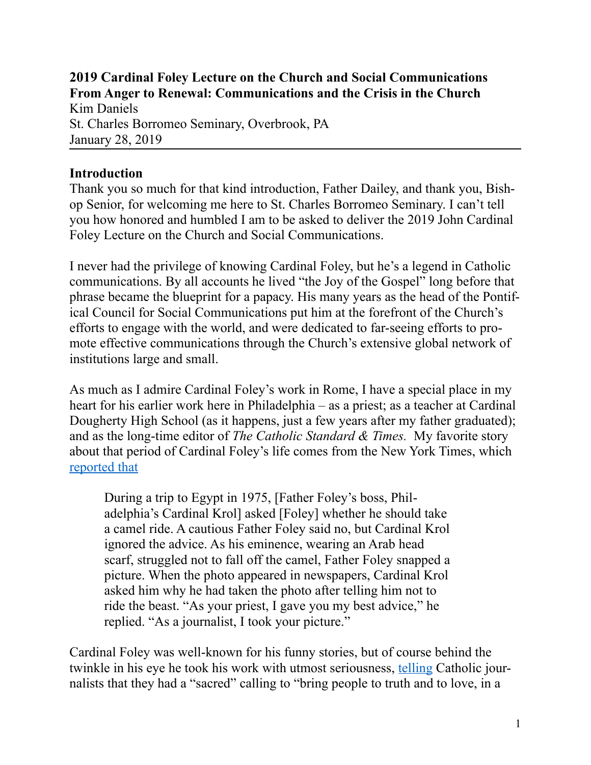**2019 Cardinal Foley Lecture on the Church and Social Communications From Anger to Renewal: Communications and the Crisis in the Church**  Kim Daniels

St. Charles Borromeo Seminary, Overbrook, PA January 28, 2019

#### **Introduction**

Thank you so much for that kind introduction, Father Dailey, and thank you, Bishop Senior, for welcoming me here to St. Charles Borromeo Seminary. I can't tell you how honored and humbled I am to be asked to deliver the 2019 John Cardinal Foley Lecture on the Church and Social Communications.

I never had the privilege of knowing Cardinal Foley, but he's a legend in Catholic communications. By all accounts he lived "the Joy of the Gospel" long before that phrase became the blueprint for a papacy. His many years as the head of the Pontifical Council for Social Communications put him at the forefront of the Church's efforts to engage with the world, and were dedicated to far-seeing efforts to promote effective communications through the Church's extensive global network of institutions large and small.

As much as I admire Cardinal Foley's work in Rome, I have a special place in my heart for his earlier work here in Philadelphia – as a priest; as a teacher at Cardinal Dougherty High School (as it happens, just a few years after my father graduated); and as the long-time editor of *The Catholic Standard & Times.* My favorite story about that period of Cardinal Foley's life comes from the New York Times, which [reported that](https://www.nytimes.com/2011/12/13/us/cardinal-john-p-foley-76-vatican-spokesman-dies.html)

During a trip to Egypt in 1975, [Father Foley's boss, Philadelphia's Cardinal Krol] asked [Foley] whether he should take a camel ride. A cautious Father Foley said no, but Cardinal Krol ignored the advice. As his eminence, wearing an Arab head scarf, struggled not to fall off the camel, Father Foley snapped a picture. When the photo appeared in newspapers, Cardinal Krol asked him why he had taken the photo after telling him not to ride the beast. "As your priest, I gave you my best advice," he replied. "As a journalist, I took your picture."

Cardinal Foley was well-known for his funny stories, but of course behind the twinkle in his eye he took his work with utmost seriousness, [telling](https://www.scs.edu/sites/default/files/files/Foley%252520Lecture%2525202017%252520-%252520TEXT.pdf) Catholic journalists that they had a "sacred" calling to "bring people to truth and to love, in a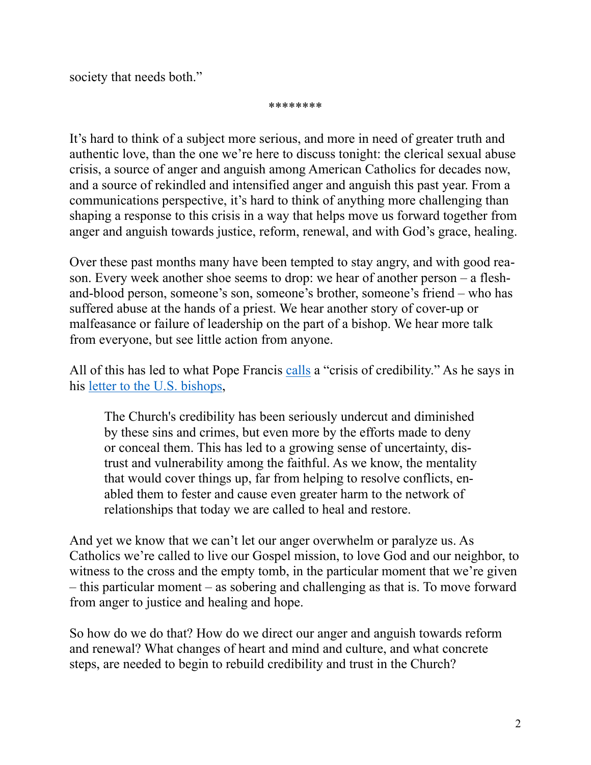society that needs both."

\*\*\*\*\*\*\*\*

It's hard to think of a subject more serious, and more in need of greater truth and authentic love, than the one we're here to discuss tonight: the clerical sexual abuse crisis, a source of anger and anguish among American Catholics for decades now, and a source of rekindled and intensified anger and anguish this past year. From a communications perspective, it's hard to think of anything more challenging than shaping a response to this crisis in a way that helps move us forward together from anger and anguish towards justice, reform, renewal, and with God's grace, healing.

Over these past months many have been tempted to stay angry, and with good reason. Every week another shoe seems to drop: we hear of another person – a fleshand-blood person, someone's son, someone's brother, someone's friend – who has suffered abuse at the hands of a priest. We hear another story of cover-up or malfeasance or failure of leadership on the part of a bishop. We hear more talk from everyone, but see little action from anyone.

All of this has led to what Pope Francis [calls](http://www.usccb.org/about/leadership/holy-see/francis/upload/francis-lettera-washington-traduzione-inglese-20190103.pdf) a "crisis of credibility." As he says in his [letter to the U.S. bishops](http://www.usccb.org/about/leadership/holy-see/francis/upload/francis-lettera-washington-traduzione-inglese-20190103.pdf),

The Church's credibility has been seriously undercut and diminished by these sins and crimes, but even more by the efforts made to deny or conceal them. This has led to a growing sense of uncertainty, distrust and vulnerability among the faithful. As we know, the mentality that would cover things up, far from helping to resolve conflicts, enabled them to fester and cause even greater harm to the network of relationships that today we are called to heal and restore.

And yet we know that we can't let our anger overwhelm or paralyze us. As Catholics we're called to live our Gospel mission, to love God and our neighbor, to witness to the cross and the empty tomb, in the particular moment that we're given – this particular moment – as sobering and challenging as that is. To move forward from anger to justice and healing and hope.

So how do we do that? How do we direct our anger and anguish towards reform and renewal? What changes of heart and mind and culture, and what concrete steps, are needed to begin to rebuild credibility and trust in the Church?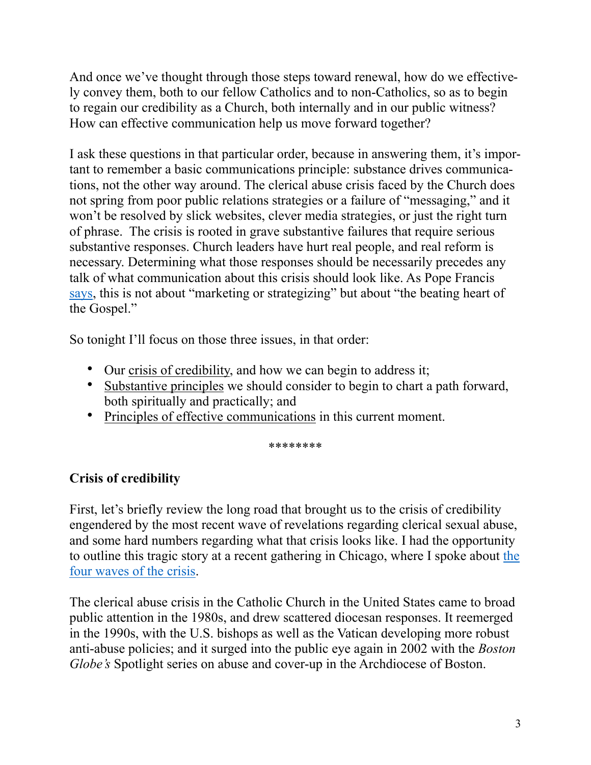And once we've thought through those steps toward renewal, how do we effectively convey them, both to our fellow Catholics and to non-Catholics, so as to begin to regain our credibility as a Church, both internally and in our public witness? How can effective communication help us move forward together?

I ask these questions in that particular order, because in answering them, it's important to remember a basic communications principle: substance drives communications, not the other way around. The clerical abuse crisis faced by the Church does not spring from poor public relations strategies or a failure of "messaging," and it won't be resolved by slick websites, clever media strategies, or just the right turn of phrase. The crisis is rooted in grave substantive failures that require serious substantive responses. Church leaders have hurt real people, and real reform is necessary. Determining what those responses should be necessarily precedes any talk of what communication about this crisis should look like. As Pope Francis [says](http://www.ncregister.com/daily-news/letter-of-pope-francis-to-the-u.s.-bishops), this is not about "marketing or strategizing" but about "the beating heart of the Gospel."

So tonight I'll focus on those three issues, in that order:

- Our crisis of credibility, and how we can begin to address it;
- Substantive principles we should consider to begin to chart a path forward, both spiritually and practically; and
- Principles of effective communications in this current moment.

\*\*\*\*\*\*\*\*

# **Crisis of credibility**

First, let's briefly review the long road that brought us to the crisis of credibility engendered by the most recent wave of revelations regarding clerical sexual abuse, and some hard numbers regarding what that crisis looks like. I had the opportunity to outline this tragic story at a recent gathering in Chicago, where I spoke about [the](http://churchlife.nd.edu/2018/12/17/the-four-waves-of-the-u-s-catholic-abuse-crisis/)  [four waves of the crisis.](http://churchlife.nd.edu/2018/12/17/the-four-waves-of-the-u-s-catholic-abuse-crisis/)

The clerical abuse crisis in the Catholic Church in the United States came to broad public attention in the 1980s, and drew scattered diocesan responses. It reemerged in the 1990s, with the U.S. bishops as well as the Vatican developing more robust anti-abuse policies; and it surged into the public eye again in 2002 with the *Boston Globe's* Spotlight series on abuse and cover-up in the Archdiocese of Boston.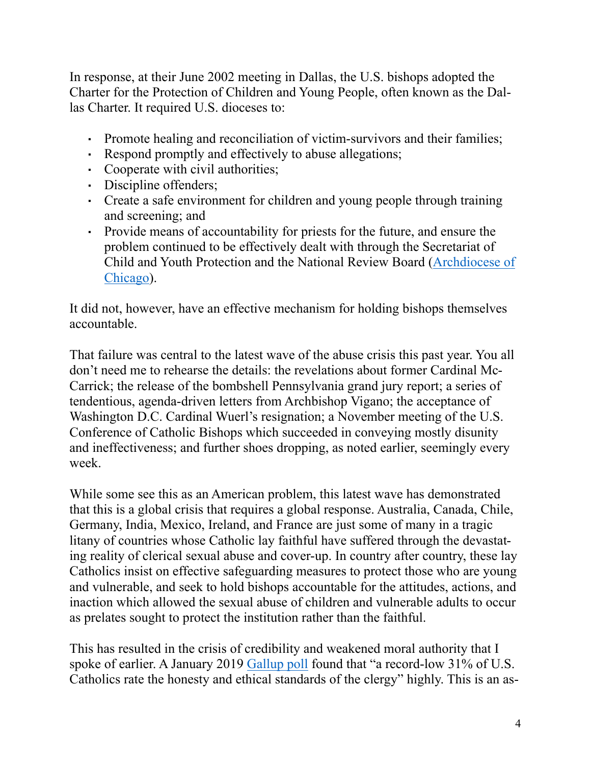In response, at their June 2002 meeting in Dallas, the U.S. bishops adopted the Charter for the Protection of Children and Young People, often known as the Dallas Charter. It required U.S. dioceses to:

- Promote healing and reconciliation of victim-survivors and their families;
- Respond promptly and effectively to abuse allegations;
- Cooperate with civil authorities;
- Discipline offenders;
- Create a safe environment for children and young people through training and screening; and
- Provide means of accountability for priests for the future, and ensure the problem continued to be effectively dealt with through the Secretariat of Child and Youth Protection and the National Review Board ([Archdiocese of](https://protect.archchicago.org/documents/351902/352075/Arch+Response+2018+-+PDF/da1344cb-468f-4c75-b411-5c3288d7891b)  [Chicago\)](https://protect.archchicago.org/documents/351902/352075/Arch+Response+2018+-+PDF/da1344cb-468f-4c75-b411-5c3288d7891b).

It did not, however, have an effective mechanism for holding bishops themselves accountable.

That failure was central to the latest wave of the abuse crisis this past year. You all don't need me to rehearse the details: the revelations about former Cardinal Mc-Carrick; the release of the bombshell Pennsylvania grand jury report; a series of tendentious, agenda-driven letters from Archbishop Vigano; the acceptance of Washington D.C. Cardinal Wuerl's resignation; a November meeting of the U.S. Conference of Catholic Bishops which succeeded in conveying mostly disunity and ineffectiveness; and further shoes dropping, as noted earlier, seemingly every week.

While some see this as an American problem, this latest wave has demonstrated that this is a global crisis that requires a global response. Australia, Canada, Chile, Germany, India, Mexico, Ireland, and France are just some of many in a tragic litany of countries whose Catholic lay faithful have suffered through the devastating reality of clerical sexual abuse and cover-up. In country after country, these lay Catholics insist on effective safeguarding measures to protect those who are young and vulnerable, and seek to hold bishops accountable for the attitudes, actions, and inaction which allowed the sexual abuse of children and vulnerable adults to occur as prelates sought to protect the institution rather than the faithful.

This has resulted in the crisis of credibility and weakened moral authority that I spoke of earlier. A January 2019 [Gallup poll](https://news.gallup.com/poll/245858/catholics-faith-clergy-shaken.aspx) found that "a record-low 31% of U.S. Catholics rate the honesty and ethical standards of the clergy" highly. This is an as-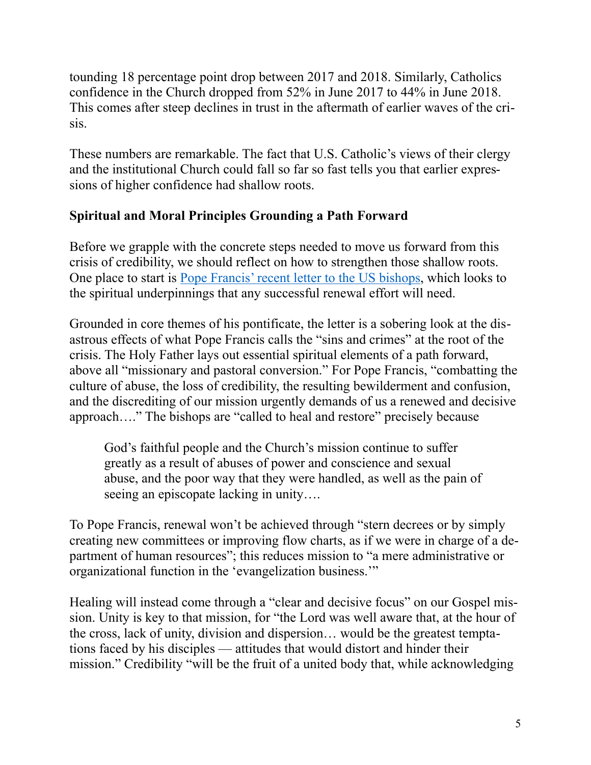tounding 18 percentage point drop between 2017 and 2018. Similarly, Catholics confidence in the Church dropped from 52% in June 2017 to 44% in June 2018. This comes after steep declines in trust in the aftermath of earlier waves of the crisis.

These numbers are remarkable. The fact that U.S. Catholic's views of their clergy and the institutional Church could fall so far so fast tells you that earlier expressions of higher confidence had shallow roots.

### **Spiritual and Moral Principles Grounding a Path Forward**

Before we grapple with the concrete steps needed to move us forward from this crisis of credibility, we should reflect on how to strengthen those shallow roots. One place to start is [Pope Francis' recent letter to the US bishops,](http://www.usccb.org/about/leadership/holy-see/francis/upload/francis-lettera-washington-traduzione-inglese-20190103.pdf) which looks to the spiritual underpinnings that any successful renewal effort will need.

Grounded in core themes of his pontificate, the letter is a sobering look at the disastrous effects of what Pope Francis calls the "sins and crimes" at the root of the crisis. The Holy Father lays out essential spiritual elements of a path forward, above all "missionary and pastoral conversion." For Pope Francis, "combatting the culture of abuse, the loss of credibility, the resulting bewilderment and confusion, and the discrediting of our mission urgently demands of us a renewed and decisive approach…." The bishops are "called to heal and restore" precisely because

God's faithful people and the Church's mission continue to suffer greatly as a result of abuses of power and conscience and sexual abuse, and the poor way that they were handled, as well as the pain of seeing an episcopate lacking in unity….

To Pope Francis, renewal won't be achieved through "stern decrees or by simply creating new committees or improving flow charts, as if we were in charge of a department of human resources"; this reduces mission to "a mere administrative or organizational function in the 'evangelization business.'"

Healing will instead come through a "clear and decisive focus" on our Gospel mission. Unity is key to that mission, for "the Lord was well aware that, at the hour of the cross, lack of unity, division and dispersion… would be the greatest temptations faced by his disciples — attitudes that would distort and hinder their mission." Credibility "will be the fruit of a united body that, while acknowledging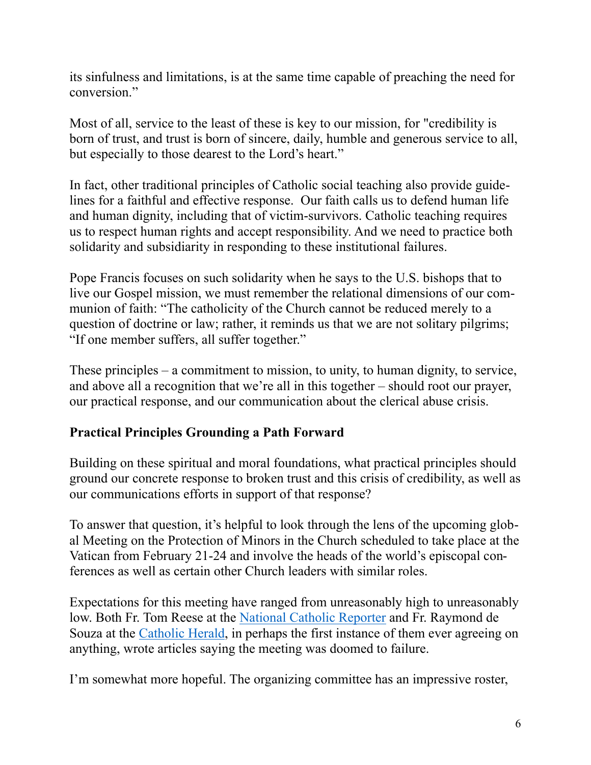its sinfulness and limitations, is at the same time capable of preaching the need for conversion"

Most of all, service to the least of these is key to our mission, for "credibility is born of trust, and trust is born of sincere, daily, humble and generous service to all, but especially to those dearest to the Lord's heart."

In fact, other traditional principles of Catholic social teaching also provide guidelines for a faithful and effective response. Our faith calls us to defend human life and human dignity, including that of victim-survivors. Catholic teaching requires us to respect human rights and accept responsibility. And we need to practice both solidarity and subsidiarity in responding to these institutional failures.

Pope Francis focuses on such solidarity when he says to the U.S. bishops that to live our Gospel mission, we must remember the relational dimensions of our communion of faith: "The catholicity of the Church cannot be reduced merely to a question of doctrine or law; rather, it reminds us that we are not solitary pilgrims; "If one member suffers, all suffer together."

These principles – a commitment to mission, to unity, to human dignity, to service, and above all a recognition that we're all in this together – should root our prayer, our practical response, and our communication about the clerical abuse crisis.

## **Practical Principles Grounding a Path Forward**

Building on these spiritual and moral foundations, what practical principles should ground our concrete response to broken trust and this crisis of credibility, as well as our communications efforts in support of that response?

To answer that question, it's helpful to look through the lens of the upcoming global Meeting on the Protection of Minors in the Church scheduled to take place at the Vatican from February 21-24 and involve the heads of the world's episcopal conferences as well as certain other Church leaders with similar roles.

Expectations for this meeting have ranged from unreasonably high to unreasonably low. Both Fr. Tom Reese at the [National Catholic Reporter](https://www.ncronline.org/news/accountability/signs-times/five-reasons-popes-clergy-sex-abuse-meeting-rome-will-fail) and Fr. Raymond de Souza at the [Catholic Herald,](https://catholicherald.co.uk/magazine/why-the-vaticans-abuse-summit-is-doomed/) in perhaps the first instance of them ever agreeing on anything, wrote articles saying the meeting was doomed to failure.

I'm somewhat more hopeful. The organizing committee has an impressive roster,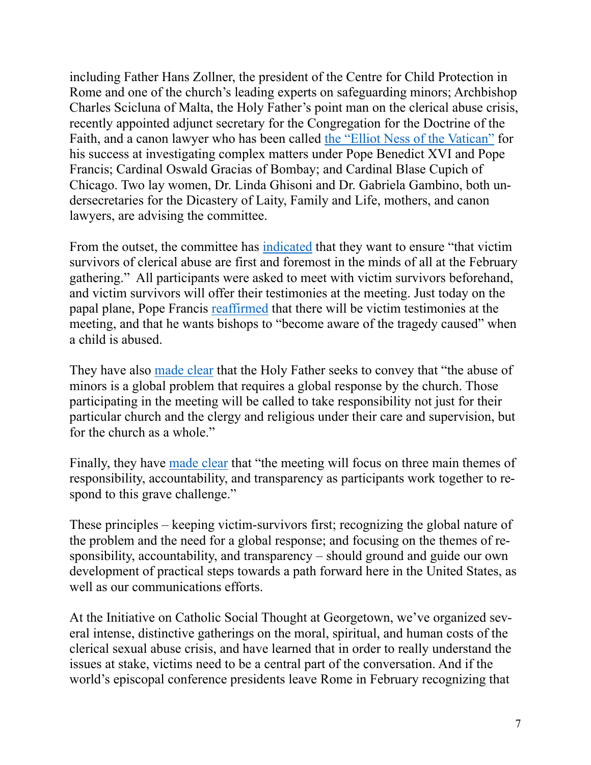including Father Hans Zollner, the president of the Centre for Child Protection in Rome and one of the church's leading experts on safeguarding minors; Archbishop Charles Scicluna of Malta, the Holy Father's point man on the clerical abuse crisis, recently appointed adjunct secretary for the Congregation for the Doctrine of the Faith, and a canon lawyer who has been called [the "Elliot Ness of the Vatican"](https://international.la-croix.com/news/archbishop-charles-scicluna-the-popes-incorruptible-collaborator/9273?utm_source=Newsletter&utm_medium=e-mail&utm_content=21-01-2019&utm_campaign=newsletter_crx_lci&PMID=a6b486031642c2386d8138fe9a394e53) for his success at investigating complex matters under Pope Benedict XVI and Pope Francis; Cardinal Oswald Gracias of Bombay; and Cardinal Blase Cupich of Chicago. Two lay women, Dr. Linda Ghisoni and Dr. Gabriela Gambino, both undersecretaries for the Dicastery of Laity, Family and Life, mothers, and canon lawyers, are advising the committee.

From the outset, the committee has [indicated](http://press.vatican.va/content/salastampa/it/bollettino/pubblico/2018/12/18/0950/02058.html) that they want to ensure "that victim survivors of clerical abuse are first and foremost in the minds of all at the February gathering." All participants were asked to meet with victim survivors beforehand, and victim survivors will offer their testimonies at the meeting. Just today on the papal plane, Pope Francis [reaffirmed](https://www.americamagazine.org/politics-society/2019/01/28/pope-francis-venezuela-married-priests-and-sex-abuse-summit) that there will be victim testimonies at the meeting, and that he wants bishops to "become aware of the tragedy caused" when a child is abused.

They have also [made clear](https://www.chicagocatholic.com/cardinal-blase-j.-cupich/-/article/2019/01/23/the-february-meeting-at-the-vatican-its-nature-and-scope) that the Holy Father seeks to convey that "the abuse of minors is a global problem that requires a global response by the church. Those participating in the meeting will be called to take responsibility not just for their particular church and the clergy and religious under their care and supervision, but for the church as a whole."

Finally, they have [made clear](http://press.vatican.va/content/salastampa/en/bollettino/pubblico/2018/12/18/181218e.html) that "the meeting will focus on three main themes of responsibility, accountability, and transparency as participants work together to respond to this grave challenge."

These principles – keeping victim-survivors first; recognizing the global nature of the problem and the need for a global response; and focusing on the themes of responsibility, accountability, and transparency – should ground and guide our own development of practical steps towards a path forward here in the United States, as well as our communications efforts.

At the Initiative on Catholic Social Thought at Georgetown, we've organized several intense, distinctive gatherings on the moral, spiritual, and human costs of the clerical sexual abuse crisis, and have learned that in order to really understand the issues at stake, victims need to be a central part of the conversation. And if the world's episcopal conference presidents leave Rome in February recognizing that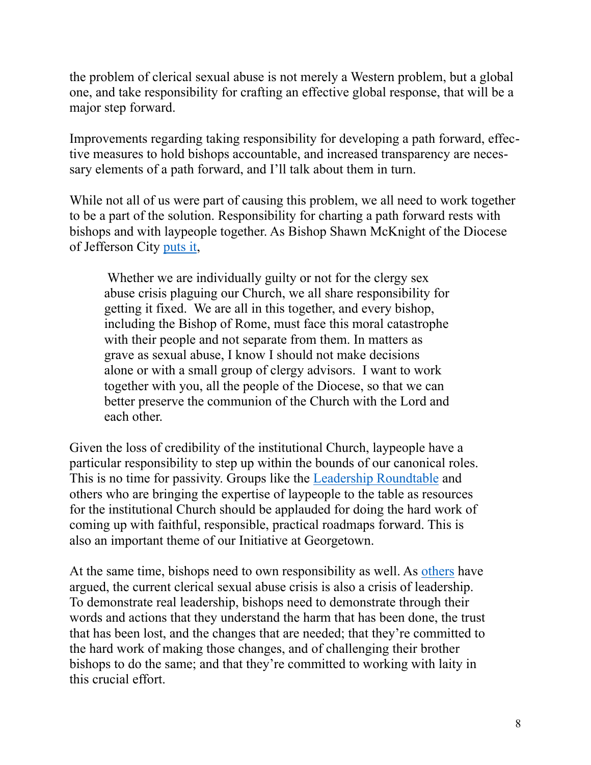the problem of clerical sexual abuse is not merely a Western problem, but a global one, and take responsibility for crafting an effective global response, that will be a major step forward.

Improvements regarding taking responsibility for developing a path forward, effective measures to hold bishops accountable, and increased transparency are necessary elements of a path forward, and I'll talk about them in turn.

While not all of us were part of causing this problem, we all need to work together to be a part of the solution. Responsibility for charting a path forward rests with bishops and with laypeople together. As Bishop Shawn McKnight of the Diocese of Jefferson City [puts it,](https://diojeffcity.org/bishop/making-connections/addressing-sexual-abuse-in-the-church/)

 Whether we are individually guilty or not for the clergy sex abuse crisis plaguing our Church, we all share responsibility for getting it fixed. We are all in this together, and every bishop, including the Bishop of Rome, must face this moral catastrophe with their people and not separate from them. In matters as grave as sexual abuse, I know I should not make decisions alone or with a small group of clergy advisors. I want to work together with you, all the people of the Diocese, so that we can better preserve the communion of the Church with the Lord and each other.

Given the loss of credibility of the institutional Church, laypeople have a particular responsibility to step up within the bounds of our canonical roles. This is no time for passivity. Groups like the [Leadership Roundtable](https://leadershiproundtable.org/) and others who are bringing the expertise of laypeople to the table as resources for the institutional Church should be applauded for doing the hard work of coming up with faithful, responsible, practical roadmaps forward. This is also an important theme of our Initiative at Georgetown.

At the same time, bishops need to own responsibility as well. As [others](https://leadershiproundtable.org/) have argued, the current clerical sexual abuse crisis is also a crisis of leadership. To demonstrate real leadership, bishops need to demonstrate through their words and actions that they understand the harm that has been done, the trust that has been lost, and the changes that are needed; that they're committed to the hard work of making those changes, and of challenging their brother bishops to do the same; and that they're committed to working with laity in this crucial effort.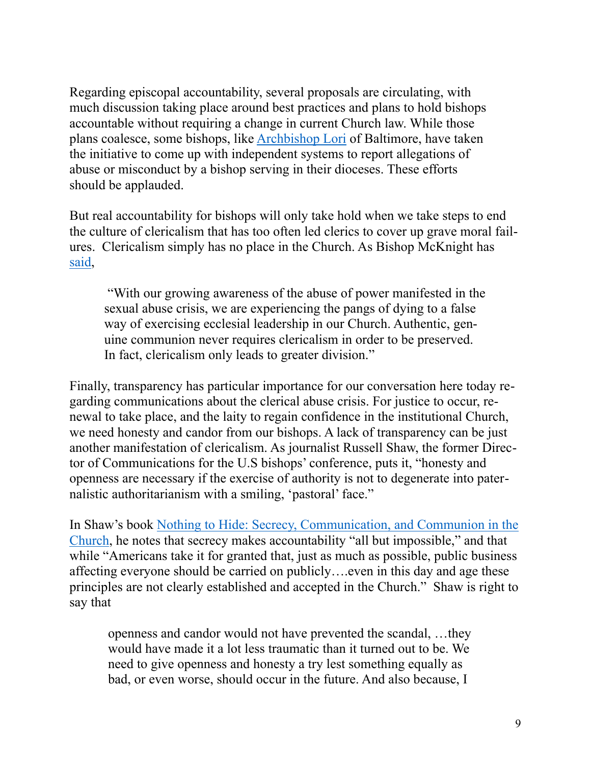Regarding episcopal accountability, several proposals are circulating, with much discussion taking place around best practices and plans to hold bishops accountable without requiring a change in current Church law. While those plans coalesce, some bishops, like [Archbishop Lori](http://www.ncregister.com/daily-news/lori-announces-whistleblower-system-for-allegations-against-baltimore-bisho) of Baltimore, have taken the initiative to come up with independent systems to report allegations of abuse or misconduct by a bishop serving in their dioceses. These efforts should be applauded.

But real accountability for bishops will only take hold when we take steps to end the culture of clericalism that has too often led clerics to cover up grave moral failures. Clericalism simply has no place in the Church. As Bishop McKnight has [said,](https://diojeffcity.org/bishop/making-connections/ending-the-culture-of-clericalism/)

 "With our growing awareness of the abuse of power manifested in the sexual abuse crisis, we are experiencing the pangs of dying to a false way of exercising ecclesial leadership in our Church. Authentic, genuine communion never requires clericalism in order to be preserved. In fact, clericalism only leads to greater division."

Finally, transparency has particular importance for our conversation here today regarding communications about the clerical abuse crisis. For justice to occur, renewal to take place, and the laity to regain confidence in the institutional Church, we need honesty and candor from our bishops. A lack of transparency can be just another manifestation of clericalism. As journalist Russell Shaw, the former Director of Communications for the U.S bishops' conference, puts it, "honesty and openness are necessary if the exercise of authority is not to degenerate into paternalistic authoritarianism with a smiling, 'pastoral' face."

In Shaw's book [Nothing to Hide: Secrecy, Communication, and Communion in the](https://www.amazon.com/Nothing-Hide-Communication-Communion-Catholic/dp/1586172182/ref=sr_1_fkmr0_1?ie=UTF8&qid=1548667674&sr=8-1-fkmr0&keywords=russell+shaw+secrecy)  [Church](https://www.amazon.com/Nothing-Hide-Communication-Communion-Catholic/dp/1586172182/ref=sr_1_fkmr0_1?ie=UTF8&qid=1548667674&sr=8-1-fkmr0&keywords=russell+shaw+secrecy), he notes that secrecy makes accountability "all but impossible," and that while "Americans take it for granted that, just as much as possible, public business affecting everyone should be carried on publicly….even in this day and age these principles are not clearly established and accepted in the Church." Shaw is right to say that

openness and candor would not have prevented the scandal, …they would have made it a lot less traumatic than it turned out to be. We need to give openness and honesty a try lest something equally as bad, or even worse, should occur in the future. And also because, I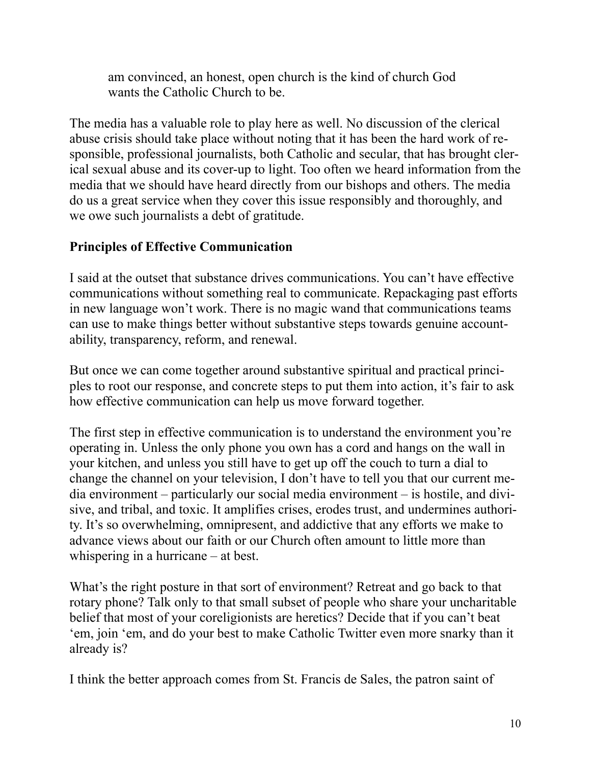am convinced, an honest, open church is the kind of church God wants the Catholic Church to be.

The media has a valuable role to play here as well. No discussion of the clerical abuse crisis should take place without noting that it has been the hard work of responsible, professional journalists, both Catholic and secular, that has brought clerical sexual abuse and its cover-up to light. Too often we heard information from the media that we should have heard directly from our bishops and others. The media do us a great service when they cover this issue responsibly and thoroughly, and we owe such journalists a debt of gratitude.

### **Principles of Effective Communication**

I said at the outset that substance drives communications. You can't have effective communications without something real to communicate. Repackaging past efforts in new language won't work. There is no magic wand that communications teams can use to make things better without substantive steps towards genuine accountability, transparency, reform, and renewal.

But once we can come together around substantive spiritual and practical principles to root our response, and concrete steps to put them into action, it's fair to ask how effective communication can help us move forward together.

The first step in effective communication is to understand the environment you're operating in. Unless the only phone you own has a cord and hangs on the wall in your kitchen, and unless you still have to get up off the couch to turn a dial to change the channel on your television, I don't have to tell you that our current media environment – particularly our social media environment – is hostile, and divisive, and tribal, and toxic. It amplifies crises, erodes trust, and undermines authority. It's so overwhelming, omnipresent, and addictive that any efforts we make to advance views about our faith or our Church often amount to little more than whispering in a hurricane – at best.

What's the right posture in that sort of environment? Retreat and go back to that rotary phone? Talk only to that small subset of people who share your uncharitable belief that most of your coreligionists are heretics? Decide that if you can't beat 'em, join 'em, and do your best to make Catholic Twitter even more snarky than it already is?

I think the better approach comes from St. Francis de Sales, the patron saint of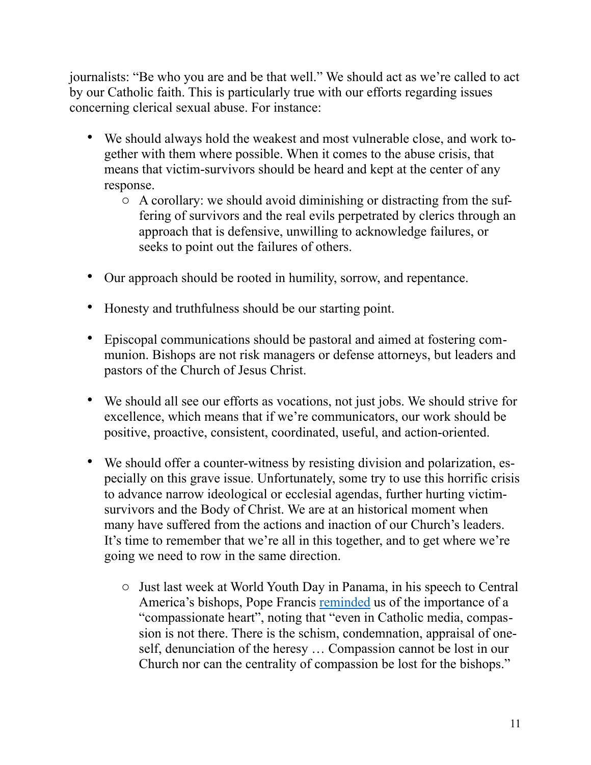journalists: "Be who you are and be that well." We should act as we're called to act by our Catholic faith. This is particularly true with our efforts regarding issues concerning clerical sexual abuse. For instance:

- We should always hold the weakest and most vulnerable close, and work together with them where possible. When it comes to the abuse crisis, that means that victim-survivors should be heard and kept at the center of any response.
	- o A corollary: we should avoid diminishing or distracting from the suffering of survivors and the real evils perpetrated by clerics through an approach that is defensive, unwilling to acknowledge failures, or seeks to point out the failures of others.
- Our approach should be rooted in humility, sorrow, and repentance.
- Honesty and truthfulness should be our starting point.
- Episcopal communications should be pastoral and aimed at fostering communion. Bishops are not risk managers or defense attorneys, but leaders and pastors of the Church of Jesus Christ.
- We should all see our efforts as vocations, not just jobs. We should strive for excellence, which means that if we're communicators, our work should be positive, proactive, consistent, coordinated, useful, and action-oriented.
- We should offer a counter-witness by resisting division and polarization, especially on this grave issue. Unfortunately, some try to use this horrific crisis to advance narrow ideological or ecclesial agendas, further hurting victimsurvivors and the Body of Christ. We are at an historical moment when many have suffered from the actions and inaction of our Church's leaders. It's time to remember that we're all in this together, and to get where we're going we need to row in the same direction.
	- o Just last week at World Youth Day in Panama, in his speech to Central America's bishops, Pope Francis [reminded](https://cruxnow.com/world-youth-day-panama/2019/01/24/pope-urges-central-american-bishops-to-embrace-oscar-romeros-legacy/) us of the importance of a "compassionate heart", noting that "even in Catholic media, compassion is not there. There is the schism, condemnation, appraisal of oneself, denunciation of the heresy … Compassion cannot be lost in our Church nor can the centrality of compassion be lost for the bishops."